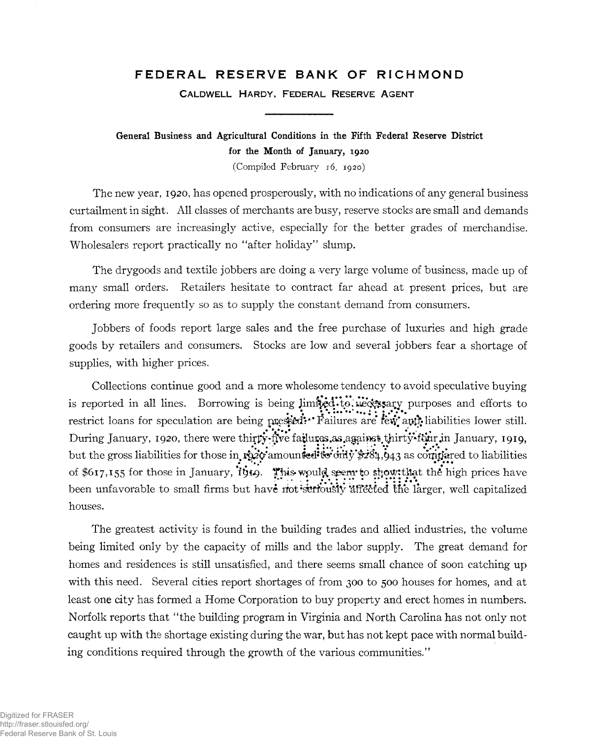## FEDERAL RESERVE BANK OF RICHMOND

**CALDWELL HARDY, FEDERAL RESERVE AGENT** 

**General Business and Agricultural Conditions in the Fifth Federal Reserve District for the Month of January, 1920**

(Compiled February 16, 1920)

The new year, 1920, has opened prosperously, with no indications of any general business curtailment in sight. All classes of merchants are busy, reserve stocks are small and demands from consumers are increasingly active, especially for the better grades of merchandise. Wholesalers report practically no "after holiday" slump.

The drygoods and textile jobbers are doing a very large volume of business, made up of many small orders. Retailers hesitate to contract far ahead at present prices, but are ordering more frequently so as to supply the constant demand from consumers.

Jobbers of foods report large sales and the free purchase of luxuries and high grade goods by retailers and consumers. Stocks are low and several jobbers fear a shortage of supplies, with higher prices.

Collections continue good and a more wholesome tendency to avoid speculative buying is reported in all lines. Borrowing is being limited to uecessary purposes and efforts to restrict loans for speculation are being pressed?\*\* Failures are few and liabilities lower still. During January, 1920, there were thirty-five failures.as.against thirty-four in January, 1919, but the gross liabilities for those in ro20 amounted: to only \$284, 943 as corritiared to liabilities of \$617,155 for those in January, *iting.* This would seem to show that the high prices have been unfavorable to small firms but have not seriously affected the larger, well capitalized houses.

The greatest activity is found in the building trades and allied industries, the volume being limited only by the capacity of mills and the labor supply. The great demand for homes and residences is still unsatisfied, and there seems small chance of soon catching up with this need. Several cities report shortages of from 300 to 500 houses for homes, and at least one city has formed a Home Corporation to buy property and erect homes in numbers. Norfolk reports that "the building program in Virginia and North Carolina has not only not caught up with the shortage existing during the war, but has not kept pace with normal building conditions required through the growth of the various communities."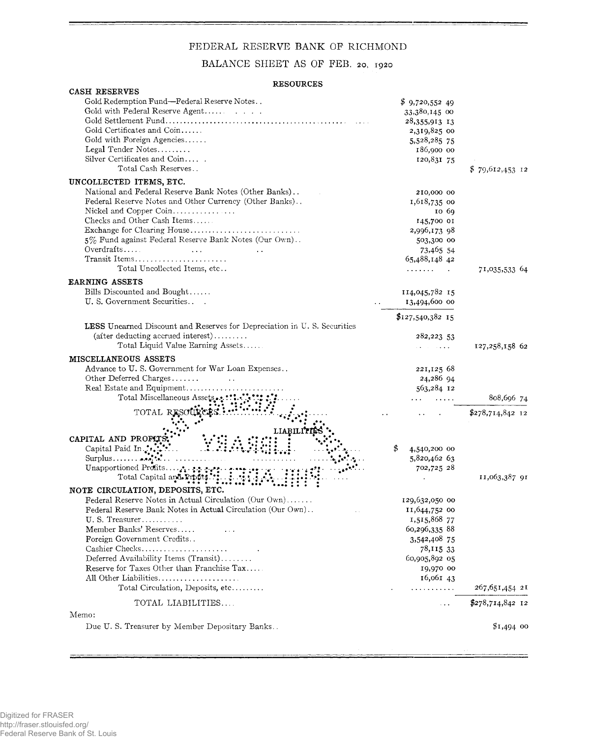## FEDERAL RESERVE BANK OF RICHMOND

BALANCE SHEET AS OF FEB. 20, 1920

## **RESOURCES**

| CASH RESERVES                                                           |                              |                   |
|-------------------------------------------------------------------------|------------------------------|-------------------|
| Gold Redemption Fund-Federal Reserve Notes                              | \$9,720,55249                |                   |
|                                                                         | 33,380,145 00                |                   |
|                                                                         | 28,355,913 13                |                   |
| Gold Certificates and Coin                                              | 2,319,825 00                 |                   |
| Gold with Foreign Agencies                                              | 5,528,285 75                 |                   |
| Legal Tender Notes                                                      | 186,900 00                   |                   |
| Silver Certificates and Coin                                            | 120,831 75                   |                   |
| Total Cash Reserves                                                     |                              | $$79,612,453$ 12  |
|                                                                         |                              |                   |
| UNCOLLECTED ITEMS, ETC.                                                 |                              |                   |
| National and Federal Reserve Bank Notes (Other Banks)                   | 210,000 00                   |                   |
| Federal Reserve Notes and Other Currency (Other Banks)                  | 1,618,735 00                 |                   |
| Nickel and Copper Coin                                                  | 10 69                        |                   |
| Checks and Other Cash Items                                             | 145,700 01                   |                   |
| Exchange for Clearing House                                             | 2,996,173 98                 |                   |
| 5% Fund against Federal Reserve Bank Notes (Our Own)                    | 503,300 00                   |                   |
| Overdratts                                                              | 73,465 54                    |                   |
| Transit Items                                                           | 65,488,148 42                |                   |
| Total Uncollected Items, etc                                            | .                            | 71,035,533 64     |
| <b>EARNING ASSETS</b>                                                   |                              |                   |
| Bills Discounted and Bought                                             | 114,045,782 15               |                   |
| U. S. Government Securities                                             | 13,494,600 00                |                   |
|                                                                         |                              |                   |
|                                                                         | $$127,540,382$ 15            |                   |
| LESS Unearned Discount and Reserves for Depreciation in U.S. Securities |                              |                   |
| $(\text{after deducting accrued interest}) \dots \dots$                 | 282,223 53                   |                   |
| Total Liquid Value Earning Assets                                       | a kacamatan ing Kabupatèn Ka | 127,258,158 62    |
| <b>MISCELLANEOUS ASSETS</b>                                             |                              |                   |
|                                                                         |                              |                   |
| Advance to U.S. Government for War Loan Expenses                        | 221,125 68                   |                   |
|                                                                         | 24,286 94                    |                   |
| Real Estate and Equipment                                               | 563,284 12                   |                   |
| Total Miscellaneous Assets.                                             |                              | 808,696 74        |
| TOTAL RESOL                                                             |                              | \$278,714,842 12  |
|                                                                         |                              |                   |
| LIABIL                                                                  |                              |                   |
| CAPITAL AND PROFITS                                                     |                              |                   |
| Capital Paid In.                                                        | 4,540,200 00                 |                   |
|                                                                         | 5,820,462 63                 |                   |
|                                                                         | 702,725 28                   |                   |
| Total Capital and Profits.                                              |                              | 11,063,387 91     |
| NOTE CIRCULATION, DEPOSITS, ETC.                                        |                              |                   |
| Federal Reserve Notes in Actual Circulation (Our Own)                   | 129,632,050 00               |                   |
| Federal Reserve Bank Notes in Actual Circulation (Our Own).             | 11,644,752 00                |                   |
|                                                                         |                              |                   |
| $U. S. T$ reasurer                                                      | 1,515,868 77                 |                   |
| Member Banks' Reserves                                                  | 60,296,335 88                |                   |
| Foreign Government Credits                                              | 3,542,408 75                 |                   |
| Cashier Checks                                                          | 78,115 33                    |                   |
| Deferred Availability Items (Transit)                                   | 60,905,892 05                |                   |
| Reserve for Taxes Other than Franchise Tax                              | 19,970 00                    |                   |
| All Other Liabilities                                                   | 16,061 43                    |                   |
| Total Circulation, Deposits, etc                                        | .                            | 267,651,454 21    |
| TOTAL LIABILITIES                                                       | $\sim$ $\sim$ $\sim$         | $$278,714,842$ 12 |
|                                                                         |                              |                   |
| Memo:                                                                   |                              |                   |
| Due U.S. Treasurer by Member Depositary Banks                           |                              | $$1,494$ 00       |

 $\equiv$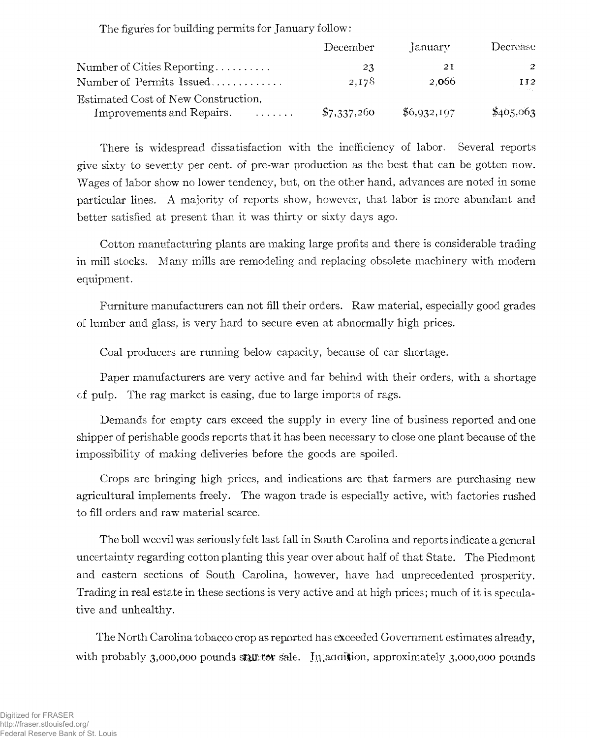The figures for building permits for January follow:

|                                           | December    | January     | Decrease               |
|-------------------------------------------|-------------|-------------|------------------------|
| Number of Cities Reporting                | 23          | 21          | -2                     |
| Number of Permits Issued                  | 2,178       | 2.066       | II2<br><b>Contract</b> |
| Estimated Cost of New Construction,       |             |             |                        |
| Improvements and Repairs.<br>$\mathbf{r}$ | \$7,337,260 | \$6,932,197 | \$405,063              |

There is widespread dissatisfaction with the inefficiency of labor. Several reports give sixty to seventy per cent, of pre-war production as the best that can be gotten now. Wages of labor show no lower tendency, but, on the other hand, advances are noted in some particular lines. A majority of reports show, however, that labor is more abundant and better satisfied at present than it was thirty or sixty days ago.

Cotton manufacturing plants are making large profits and there is considerable trading in mill stocks. Many mills are remodeling and replacing obsolete machinery with modern equipment.

Furniture manufacturers can not fill their orders. Raw material, especially good grades of lumber and glass, is very hard to secure even at abnormally high prices.

Coal producers are running below capacity, because of car shortage.

Paper manufacturers are very active and far behind with their orders, with a shortage of pulp. The rag market is easing, due to large imports of rags.

Demands for empty cars exceed the supply in every line of business reported and one shipper of perishable goods reports that it has been necessary to close one plant because of the impossibility of making deliveries before the goods are spoiled.

Crops are bringing high prices, and indications are that farmers are purchasing new agricultural implements freely. The wagon trade is especially active, with factories rushed to fill orders and raw material scarce.

The boll weevil was seriously felt last fall in South Carolina and reports indicate a general uncertainty regarding cotton planting this year over about half of that State. The Piedmont and eastern sections of South Carolina, however, have had unprecedented prosperity. Trading in real estate in these sections is very active and at high prices; much of it is speculative and unhealthy.

The North Carolina tobacco crop as reported has exceeded Government estimates already, with probably 3,000,000 pounds still for sale. In addition, approximately 3,000,000 pounds